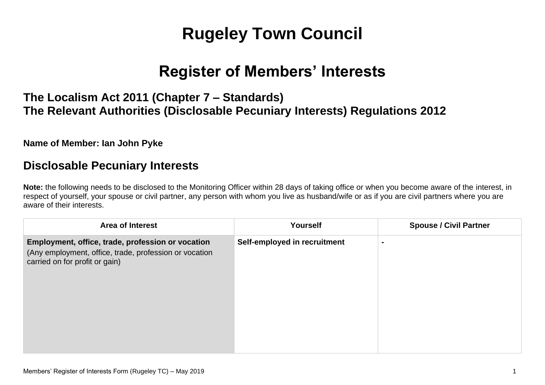# **Rugeley Town Council**

## **Register of Members' Interests**

## **The Localism Act 2011 (Chapter 7 – Standards) The Relevant Authorities (Disclosable Pecuniary Interests) Regulations 2012**

#### **Name of Member: Ian John Pyke**

## **Disclosable Pecuniary Interests**

**Note:** the following needs to be disclosed to the Monitoring Officer within 28 days of taking office or when you become aware of the interest, in respect of yourself, your spouse or civil partner, any person with whom you live as husband/wife or as if you are civil partners where you are aware of their interests.

| <b>Area of Interest</b>                                                                                                                       | Yourself                     | <b>Spouse / Civil Partner</b> |
|-----------------------------------------------------------------------------------------------------------------------------------------------|------------------------------|-------------------------------|
| Employment, office, trade, profession or vocation<br>(Any employment, office, trade, profession or vocation<br>carried on for profit or gain) | Self-employed in recruitment | $\blacksquare$                |
|                                                                                                                                               |                              |                               |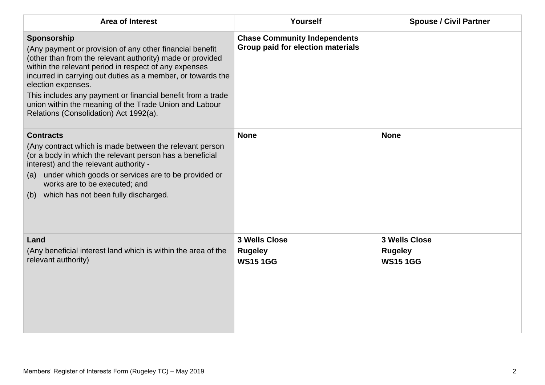| <b>Area of Interest</b>                                                                                                                                                                                                                                                                                                                                                                                                                               | Yourself                                                                 | <b>Spouse / Civil Partner</b>                     |
|-------------------------------------------------------------------------------------------------------------------------------------------------------------------------------------------------------------------------------------------------------------------------------------------------------------------------------------------------------------------------------------------------------------------------------------------------------|--------------------------------------------------------------------------|---------------------------------------------------|
| Sponsorship<br>(Any payment or provision of any other financial benefit<br>(other than from the relevant authority) made or provided<br>within the relevant period in respect of any expenses<br>incurred in carrying out duties as a member, or towards the<br>election expenses.<br>This includes any payment or financial benefit from a trade<br>union within the meaning of the Trade Union and Labour<br>Relations (Consolidation) Act 1992(a). | <b>Chase Community Independents</b><br>Group paid for election materials |                                                   |
| <b>Contracts</b><br>(Any contract which is made between the relevant person<br>(or a body in which the relevant person has a beneficial<br>interest) and the relevant authority -<br>(a) under which goods or services are to be provided or<br>works are to be executed; and<br>(b) which has not been fully discharged.                                                                                                                             | <b>None</b>                                                              | <b>None</b>                                       |
| Land<br>(Any beneficial interest land which is within the area of the<br>relevant authority)                                                                                                                                                                                                                                                                                                                                                          | <b>3 Wells Close</b><br><b>Rugeley</b><br><b>WS15 1GG</b>                | 3 Wells Close<br><b>Rugeley</b><br><b>WS151GG</b> |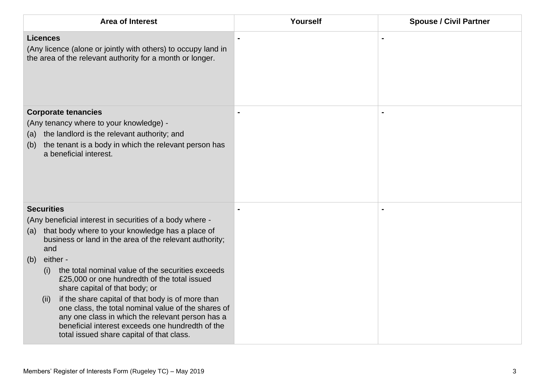| <b>Area of Interest</b>                                                                                                                                                                                                                                               | Yourself | <b>Spouse / Civil Partner</b> |
|-----------------------------------------------------------------------------------------------------------------------------------------------------------------------------------------------------------------------------------------------------------------------|----------|-------------------------------|
| <b>Licences</b><br>(Any licence (alone or jointly with others) to occupy land in<br>the area of the relevant authority for a month or longer.                                                                                                                         |          |                               |
| <b>Corporate tenancies</b><br>(Any tenancy where to your knowledge) -<br>the landlord is the relevant authority; and<br>(a)<br>the tenant is a body in which the relevant person has<br>(b)<br>a beneficial interest.                                                 |          |                               |
| <b>Securities</b>                                                                                                                                                                                                                                                     |          |                               |
| (Any beneficial interest in securities of a body where -<br>that body where to your knowledge has a place of<br>(a)<br>business or land in the area of the relevant authority;<br>and                                                                                 |          |                               |
| either -<br>(b)                                                                                                                                                                                                                                                       |          |                               |
| the total nominal value of the securities exceeds<br>(i)<br>£25,000 or one hundredth of the total issued<br>share capital of that body; or                                                                                                                            |          |                               |
| if the share capital of that body is of more than<br>(ii)<br>one class, the total nominal value of the shares of<br>any one class in which the relevant person has a<br>beneficial interest exceeds one hundredth of the<br>total issued share capital of that class. |          |                               |